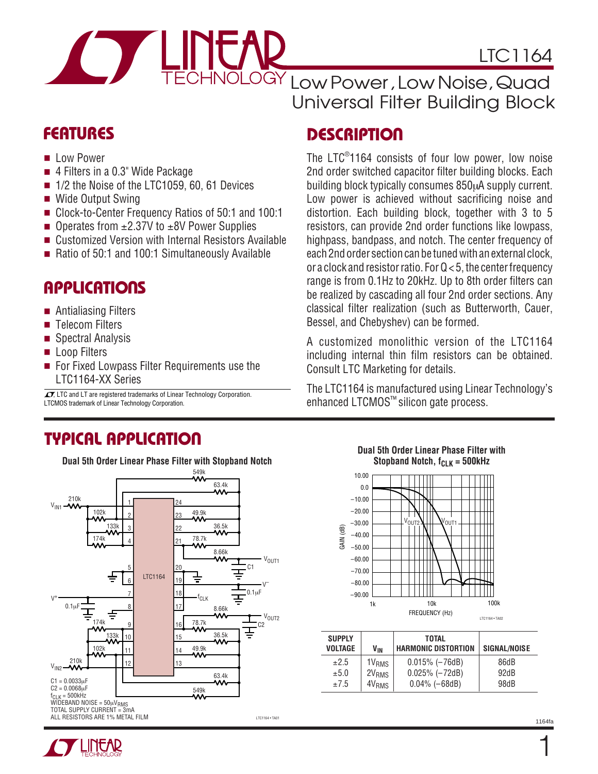

CHNOLOGY Low Power , Low Noise , Quad Universal Filter Building Block

### **FEATURES DESCRIPTIO <sup>U</sup>**

The LTC® 1164 consists of four low power, low noise 2nd order switched capacitor filter building blocks. Each building block typically consumes 850µA supply current. Low power is achieved without sacrificing noise and distortion. Each building block, together with 3 to 5 resistors, can provide 2nd order functions like lowpass, highpass, bandpass, and notch. The center frequency of each 2nd order section can be tuned with an external clock, or a clock and resistor ratio. For Q < 5, the center frequency range is from 0.1Hz to 20kHz. Up to 8th order filters can be realized by cascading all four 2nd order sections. Any classical filter realization (such as Butterworth, Cauer, Bessel, and Chebyshev) can be formed.

A customized monolithic version of the LTC1164 including internal thin film resistors can be obtained. Consult LTC Marketing for details.

The LTC1164 is manufactured using Linear Technology's enhanced LTCMOS™ silicon gate process.

- Low Power
- 4 Filters in a 0.3" Wide Package
- 1/2 the Noise of the LTC1059, 60, 61 Devices
- Wide Output Swing
- Clock-to-Center Frequency Ratios of 50:1 and 100:1
- Operates from  $±2.37V$  to  $±8V$  Power Supplies
- Customized Version with Internal Resistors Available
- Ratio of 50:1 and 100:1 Simultaneously Available

### **APPLICATIONS**

- Antialiasing Filters
- Telecom Filters
- Spectral Analysis
- Loop Filters
- For Fixed Lowpass Filter Requirements use the LTC1164-XX Series

LTCMOS trademark of Linear Technology Corporation.  $\sqrt{27}$ , LTC and LT are registered trademarks of Linear Technology Corporation.

### **TYPICAL APPLICATIO U**



#### **Dual 5th Order Linear Phase Filter with Stopband Notch, f<sub>CLK</sub> = 500kHz**



| <b>SUPPLY</b><br><b>VOLTAGE</b> | V <sub>IN</sub>    | TOTAL<br><b>HARMONIC DISTORTION</b> | <b>SIGNAL/NOISE</b> |  |
|---------------------------------|--------------------|-------------------------------------|---------------------|--|
| $+2.5$                          | 1 V <sub>RMS</sub> | $0.015\%$ ( $-76dB$ )               | 86dB                |  |
| ±5.0                            | 2V <sub>RMS</sub>  | $0.025\%$ ( $-72dB$ )               | 92dB                |  |
| $+7.5$                          | 4V <sub>RMS</sub>  | $0.04\%$ ( $-68dB$ )                | 98dB                |  |

1

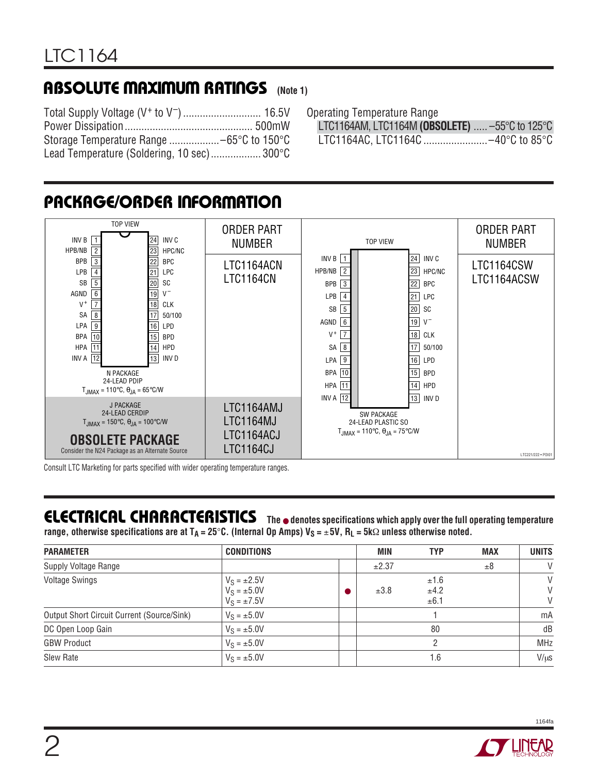### **ABSOLUTE MAXIMUM RATINGS** (Note 1)

Total Supply Voltage (V+ to V–)............................ 16.5V Power Dissipation.............................................. 500mW Storage Temperature Range ..................–65°C to 150°C Lead Temperature (Soldering, 10 sec).................. 300°C Operating Temperature Range

LTC1164AM, LTC1164M **(OBSOLETE)** ..... –55°C to 125°C LTC1164AC, LTC1164C .......................–40°C to 85°C



# **PACKAGE/ORDER INFORMATION**

Consult LTC Marketing for parts specified with wider operating temperature ranges.

### **ELECTRICAL CHARACTERISTICS The** ● **denotes specifications which apply over the full operating temperature**

**range, otherwise specifications are at T<sub>A</sub> = 25°C. (Internal Op Amps) V<sub>S</sub> = ±5V, R<sub>L</sub> = 5kΩ unless otherwise noted.** 

| <b>PARAMETER</b>                           | <b>CONDITIONS</b>                                         | MIN   | <b>TYP</b>           | <b>MAX</b> | <b>UNITS</b> |  |
|--------------------------------------------|-----------------------------------------------------------|-------|----------------------|------------|--------------|--|
| Supply Voltage Range                       |                                                           | ±2.37 |                      | ±8         | $\vee$       |  |
| <b>Voltage Swings</b>                      | $V_S = \pm 2.5V$<br>$V_S = \pm 5.0 V$<br>$V_S = \pm 7.5V$ | ±3.8  | ±1.6<br>±4.2<br>±6.1 |            | V<br>V<br>V  |  |
| Output Short Circuit Current (Source/Sink) | $V_S = \pm 5.0 V$                                         |       |                      |            | mA           |  |
| DC Open Loop Gain                          | $V_S = \pm 5.0V$                                          |       | 80                   |            | dB           |  |
| <b>GBW Product</b>                         | $V_S = \pm 5.0V$                                          |       |                      |            | <b>MHz</b>   |  |
| Slew Rate                                  | $V_S = \pm 5.0V$                                          |       | 1.6                  |            | $V/\mu s$    |  |



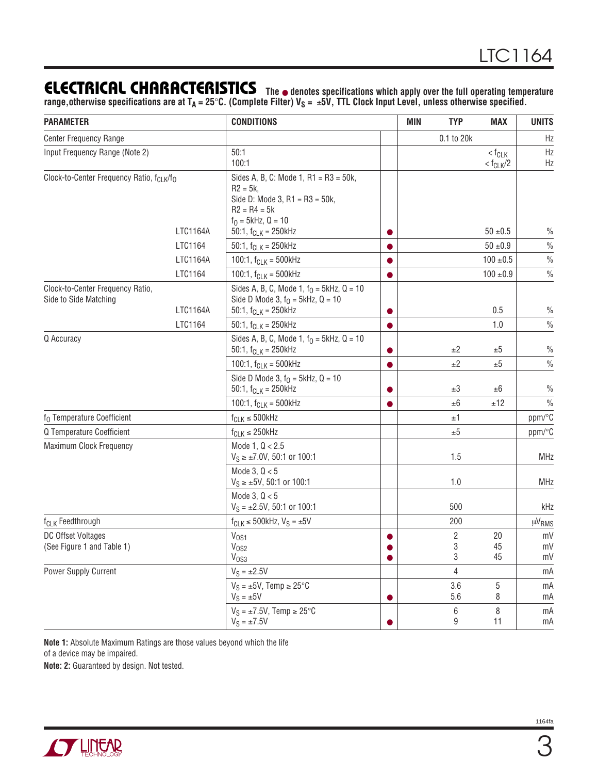### **ELECTRICAL CHARACTERISTICS**

**The** ● **denotes specifications which apply over the full operating temperature** range,otherwise specifications are at T<sub>A</sub> = 25°C. (Complete Filter) V<sub>S</sub> = ±5V, TTL Clock Input Level, unless otherwise specified.

| <b>PARAMETER</b>                                                      | <b>CONDITIONS</b>                                                                                                                    |           | <b>TYP</b><br><b>MIN</b> |            | <b>MAX</b>                                      | <b>UNITS</b><br>Hz |
|-----------------------------------------------------------------------|--------------------------------------------------------------------------------------------------------------------------------------|-----------|--------------------------|------------|-------------------------------------------------|--------------------|
| <b>Center Frequency Range</b>                                         |                                                                                                                                      |           | 0.1 to 20k               |            |                                                 |                    |
| Input Frequency Range (Note 2)                                        | 50:1<br>100:1                                                                                                                        |           |                          |            | $<$ f <sub>CLK</sub><br>$<$ f <sub>CLK</sub> /2 | Hz<br>Hz           |
| Clock-to-Center Frequency Ratio, f <sub>CLK</sub> /f <sub>O</sub>     | Sides A, B, C: Mode 1, R1 = R3 = 50k,<br>$R2 = 5k$ ,<br>Side D: Mode 3, R1 = $R3 = 50k$ ,<br>$R2 = R4 = 5k$<br>$f_0 = 5kHz$ , Q = 10 |           |                          |            |                                                 |                    |
| LTC1164A                                                              | 50:1, $f_{CLK} = 250kHz$                                                                                                             |           |                          |            | $50 + 0.5$                                      | $\frac{0}{0}$      |
| LTC1164                                                               | 50:1, $f_{CLK} = 250$ kHz                                                                                                            |           |                          |            | $50 \pm 0.9$                                    | $\frac{0}{0}$      |
| LTC1164A                                                              | 100:1, $f_{CLK} = 500kHz$                                                                                                            |           |                          |            | 100 ± 0.5                                       | $\frac{0}{0}$      |
| LTC1164                                                               | 100:1, $f_{CLK} = 500kHz$                                                                                                            |           |                          |            | $100 + 0.9$                                     | $\frac{0}{0}$      |
| Clock-to-Center Frequency Ratio,<br>Side to Side Matching<br>LTC1164A | Sides A, B, C, Mode 1, $f_0 = 5kHz$ , Q = 10<br>Side D Mode 3, $f_0 = 5kHz$ , $Q = 10$<br>50:1, $f_{CLK} = 250$ kHz                  |           |                          |            | 0.5                                             | $\frac{0}{0}$      |
| LTC1164                                                               | 50:1, $f_{CLK} = 250$ kHz                                                                                                            |           |                          |            | 1.0                                             | $\frac{0}{0}$      |
| Q Accuracy                                                            | Sides A, B, C, Mode 1, $f_0 = 5kHz$ , Q = 10<br>50:1, $f_{CLK} = 250kHz$                                                             |           |                          | ±2         | ±5                                              | $\frac{0}{0}$      |
|                                                                       | 100:1, $f_{CLK} = 500kHz$                                                                                                            | $\bullet$ |                          | ±2         | ±5                                              | $\frac{0}{0}$      |
|                                                                       | Side D Mode 3, $f_0 = 5kHz$ , $Q = 10$<br>50:1, $f_{CLK} = 250kHz$                                                                   |           |                          | ±3         | ±6                                              | $\frac{0}{0}$      |
|                                                                       | 100:1, $f_{CLK} = 500kHz$                                                                                                            |           |                          | $\pm 6$    | ±12                                             | $\frac{0}{0}$      |
| f <sub>0</sub> Temperature Coefficient                                | $f_{CLK} \leq 500$ kHz                                                                                                               |           |                          | ±1         |                                                 | ppm/°C             |
| Q Temperature Coefficient                                             | $f_{CLK} \leq 250$ kHz                                                                                                               |           |                          | ±5         |                                                 | ppm/°C             |
| Maximum Clock Frequency                                               | Mode 1, $Q < 2.5$<br>$V_S \ge \pm 7.0V$ , 50:1 or 100:1                                                                              |           |                          | 1.5        |                                                 | <b>MHz</b>         |
|                                                                       | Mode 3, $Q < 5$<br>$V_S \ge \pm 5V$ , 50:1 or 100:1                                                                                  |           |                          | 1.0        |                                                 | <b>MHz</b>         |
|                                                                       | Mode 3, $Q < 5$<br>$V_S = \pm 2.5V$ , 50:1 or 100:1                                                                                  |           |                          | 500        |                                                 | kHz                |
| f <sub>CLK</sub> Feedthrough                                          | $f_{CLK} \le 500$ kHz, $V_S = \pm 5V$                                                                                                |           |                          | 200        |                                                 | $\mu V_{RMS}$      |
| DC Offset Voltages                                                    | V <sub>OS1</sub>                                                                                                                     |           |                          | 2          | 20                                              | mV                 |
| (See Figure 1 and Table 1)                                            | V <sub>OS2</sub><br>V <sub>OS3</sub>                                                                                                 | 0         |                          | 3<br>$\,3$ | 45<br>45                                        | mV<br>mV           |
| Power Supply Current                                                  | $V_S = \pm 2.5V$                                                                                                                     |           |                          | 4          |                                                 | mA                 |
|                                                                       | $V_S = \pm 5V$ , Temp $\geq 25^{\circ}C$                                                                                             |           |                          | 3.6        | 5                                               | mA                 |
|                                                                       | $V_S = \pm 5V$                                                                                                                       | $\bullet$ |                          | 5.6        | 8                                               | mA                 |
|                                                                       | $V_S = \pm 7.5V$ , Temp $\geq 25^{\circ}C$<br>$V_S = \pm 7.5V$                                                                       |           |                          | 6<br>9     | 8<br>11                                         | mA<br>mA           |

**Note 1:** Absolute Maximum Ratings are those values beyond which the life of a device may be impaired.

**Note: 2:** Guaranteed by design. Not tested.

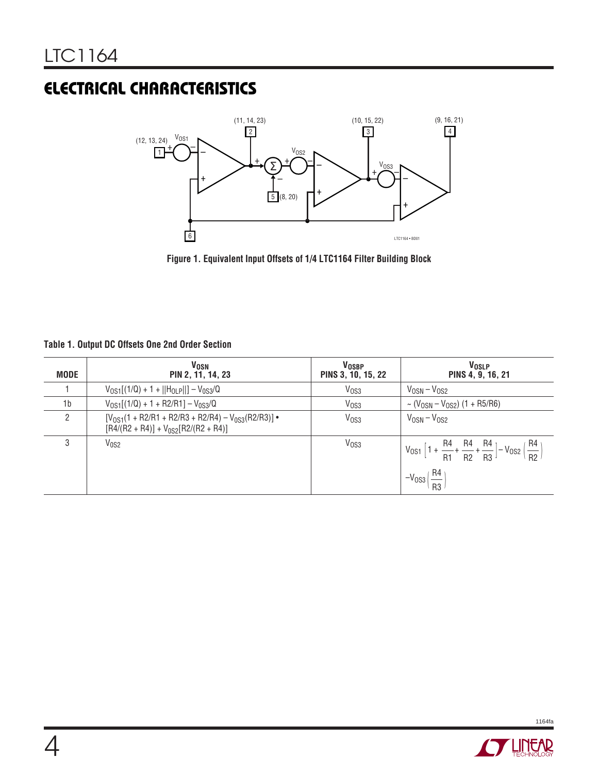## **ELECTRICAL CHARACTERISTICS**



**Figure 1. Equivalent Input Offsets of 1/4 LTC1164 Filter Building Block**

| Table 1. Output DC Offsets One 2nd Order Section |  |  |
|--------------------------------------------------|--|--|
|                                                  |  |  |

| <b>MODE</b>    | <b>VOSN</b><br>PIN 2, 11, 14, 23                                                                      | <b>VOSBP</b><br>PINS 3, 10, 15, 22 | V <sub>OSLP</sub><br>PINS 4, 9, 16, 21                                                                            |
|----------------|-------------------------------------------------------------------------------------------------------|------------------------------------|-------------------------------------------------------------------------------------------------------------------|
|                | $V_{0S1}[(1/Q) + 1 +   H_{0LP}  ] - V_{0S3}/Q$                                                        | V <sub>OS3</sub>                   | $V_{OSN} - V_{OS2}$                                                                                               |
| 1 <sub>b</sub> | $V_{0S1}[(1/Q) + 1 + R2/R1] - V_{0S3}/Q$                                                              | V <sub>OS3</sub>                   | $\sim$ (V <sub>OSN</sub> – V <sub>OS2</sub> ) (1 + R5/R6)                                                         |
| 2              | $[V_{OS1}(1 + R2/R1 + R2/R3 + R2/R4) - V_{0SS}(R2/R3)]$ •<br>$[R4/(R2 + R4)] + V_{0S2}[R2/(R2 + R4)]$ | V <sub>OS3</sub>                   | $V_{OSN} - V_{OS2}$                                                                                               |
| 3              | V <sub>0S2</sub>                                                                                      | V <sub>OS3</sub>                   | $V_{0S1}$ $\left[1 + \frac{R4}{R1} + \frac{R4}{R2} + \frac{R4}{R3}\right] - V_{0S2}$ $\left(\frac{R4}{R2}\right)$ |
|                |                                                                                                       |                                    | $-V$ <sub>0S3</sub> $\left(\frac{R4}{R3}\right)$                                                                  |

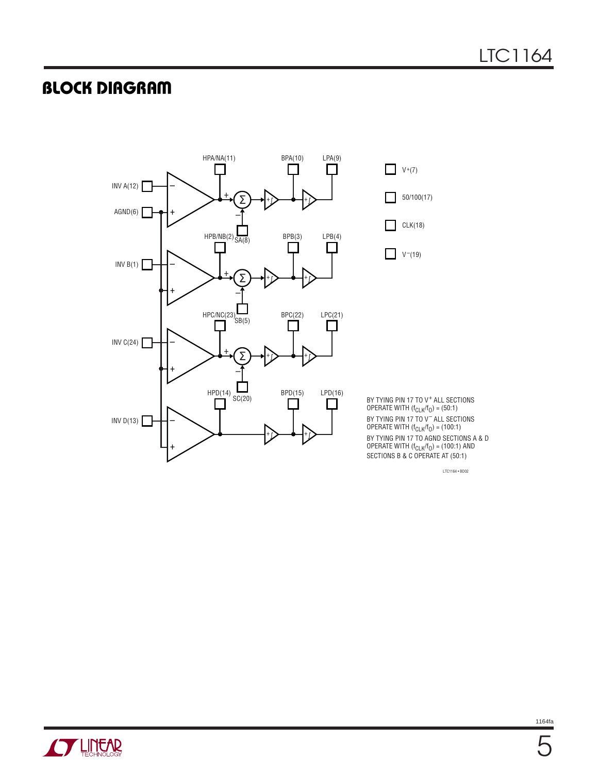### **BLOCK DIAGRAM**



LTC1164 • BD02

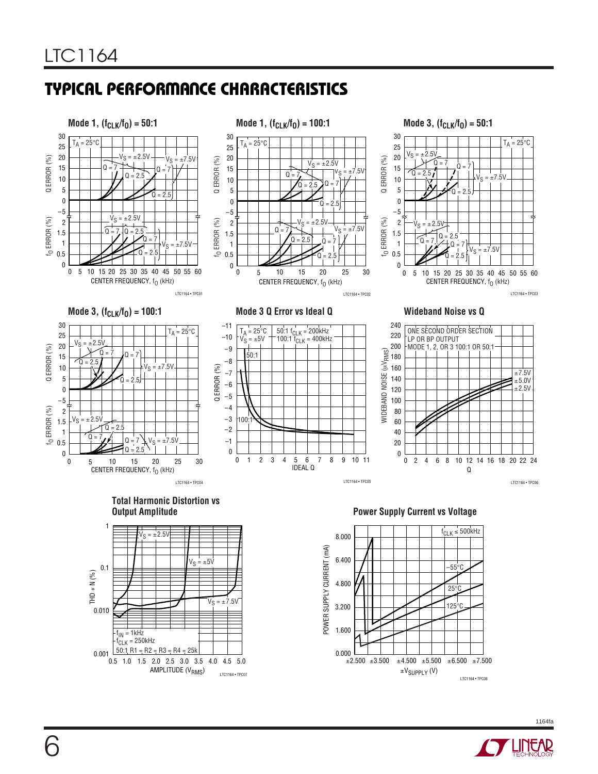### **TYPICAL PERFORMANCE CHARACTERISTICS**

AMPLITUDE (V<sub>RMS</sub>) LTC1164 • TPC07

0.5 1.0 1.5 2.0 2.5 3.0 3.5 4.0 4.5 5.0

0.001 50:1 R1 = R2 = R3 = R4 = 25k

 $f_{\mathsf{IN}}$  = 1kHz f<sub>CLK</sub> = 250kHz





LTC1164 • TPC08

±VSUPPLY (V)  $\pm 2.500$   $\pm 3.500$   $\pm 4.500$   $\pm 5.500$   $\pm 6.500$   $\pm 7.500$ 

0.000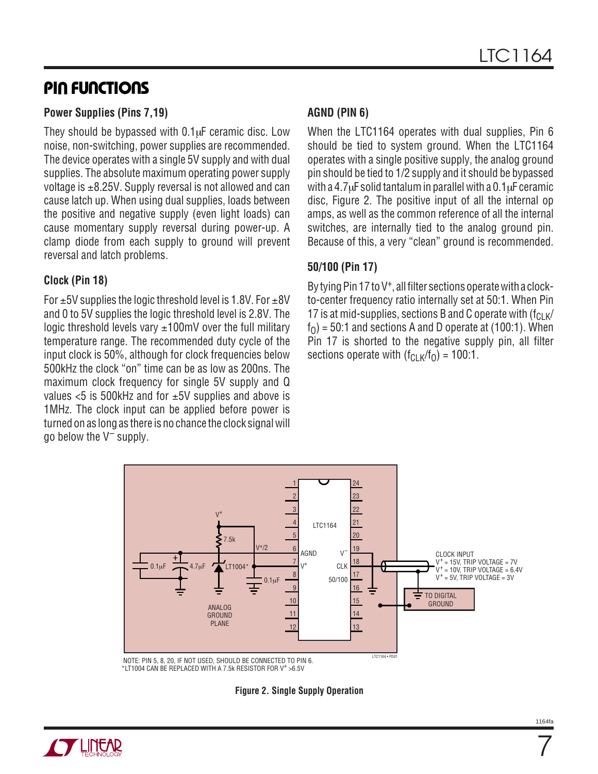### **PIN FUNCTIONS**

#### **Power Supplies (Pins 7,19)**

They should be bypassed with 0.1µF ceramic disc. Low noise, non-switching, power supplies are recommended. The device operates with a single 5V supply and with dual supplies. The absolute maximum operating power supply voltage is  $\pm$ 8.25V. Supply reversal is not allowed and can cause latch up. When using dual supplies, loads between the positive and negative supply (even light loads) can cause momentary supply reversal during power-up. A clamp diode from each supply to ground will prevent reversal and latch problems.

#### **Clock (Pin 18)**

For  $\pm$ 5V supplies the logic threshold level is 1.8V. For  $\pm$ 8V and 0 to 5V supplies the logic threshold level is 2.8V. The logic threshold levels vary  $\pm 100$ mV over the full military temperature range. The recommended duty cycle of the input clock is 50%, although for clock frequencies below 500kHz the clock "on" time can be as low as 200ns. The maximum clock frequency for single 5V supply and Q values  $\lt 5$  is 500kHz and for  $\pm 5V$  supplies and above is 1MHz. The clock input can be applied before power is turned on as long as there is no chance the clock signal will go below the  $V^-$  supply.

#### **AGND (PIN 6)**

When the LTC1164 operates with dual supplies, Pin 6 should be tied to system ground. When the LTC1164 operates with a single positive supply, the analog ground pin should be tied to 1/2 supply and it should be bypassed with a 4.7 $\mu$ F solid tantalum in parallel with a 0.1 $\mu$ F ceramic disc, Figure 2. The positive input of all the internal op amps, as well as the common reference of all the internal switches, are internally tied to the analog ground pin. Because of this, a very "clean" ground is recommended.

#### **50/100 (Pin 17)**

By tying Pin 17 to V<sup>+</sup>, all filter sections operate with a clockto-center frequency ratio internally set at 50:1. When Pin 17 is at mid-supplies, sections B and C operate with  $(f_C, k)$  $f<sub>0</sub>$ ) = 50:1 and sections A and D operate at (100:1). When Pin 17 is shorted to the negative supply pin, all filter sections operate with  $(f_{CLK}/f_0) = 100:1$ .



\*LT1004 CAN BE REPLACED WITH A 7.5k RESISTOR FOR V<sup>+</sup> >6.5V

**Figure 2. Single Supply Operation**



7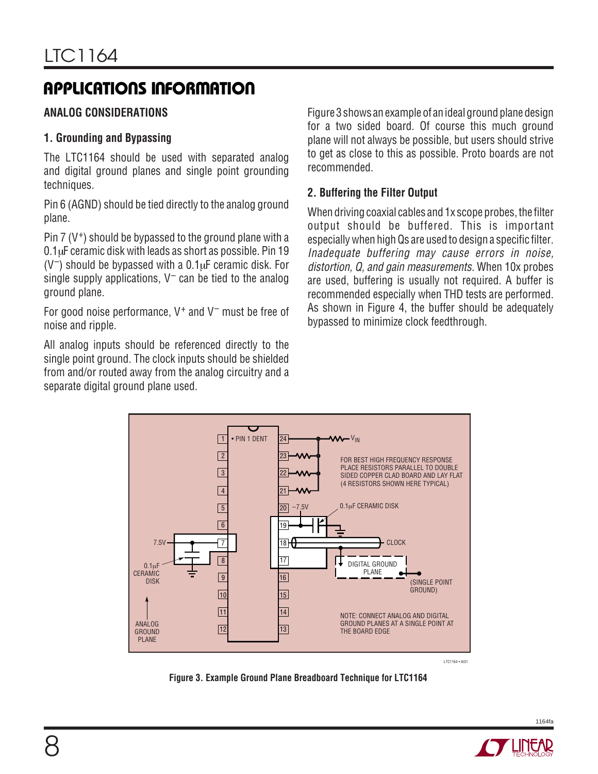### **APPLICATIONS INFORMATION**

### **ANALOG CONSIDERATIONS**

#### **1. Grounding and Bypassing**

The LTC1164 should be used with separated analog and digital ground planes and single point grounding techniques.

Pin 6 (AGND) should be tied directly to the analog ground plane.

Pin  $7 (V<sup>+</sup>)$  should be bypassed to the ground plane with a 0.1µF ceramic disk with leads as short as possible. Pin 19  $(V^-)$  should be bypassed with a 0.1 $\mu$ F ceramic disk. For single supply applications,  $V^-$  can be tied to the analog ground plane.

For good noise performance,  $V^+$  and  $V^-$  must be free of noise and ripple.

All analog inputs should be referenced directly to the single point ground. The clock inputs should be shielded from and/or routed away from the analog circuitry and a separate digital ground plane used.

Figure 3 shows an example of an ideal ground plane design for a two sided board. Of course this much ground plane will not always be possible, but users should strive to get as close to this as possible. Proto boards are not recommended.

#### **2. Buffering the Filter Output**

When driving coaxial cables and 1x scope probes, the filter output should be buffered. This is important especially when high Qs are used to design a specific filter. Inadequate buffering may cause errors in noise, distortion, Q, and gain measurements. When 10x probes are used, buffering is usually not required. A buffer is recommended especially when THD tests are performed. As shown in Figure 4, the buffer should be adequately bypassed to minimize clock feedthrough.



**Figure 3. Example Ground Plane Breadboard Technique for LTC1164**

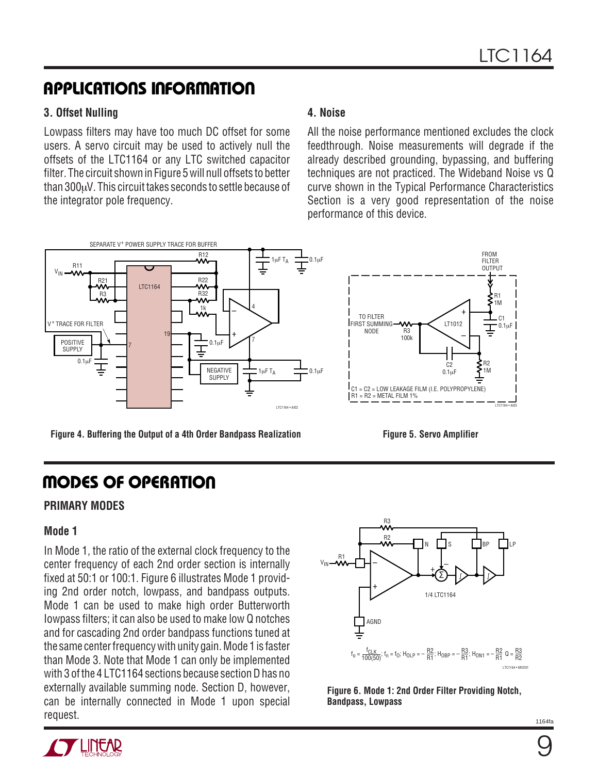### **APPLICATIONS INFORMATION**

#### **3. Offset Nulling**

Lowpass filters may have too much DC offset for some users. A servo circuit may be used to actively null the offsets of the LTC1164 or any LTC switched capacitor filter. The circuit shown in Figure 5 will null offsets to better than 300µV. This circuit takes seconds to settle because of the integrator pole frequency.

#### **4. Noise**

All the noise performance mentioned excludes the clock feedthrough. Noise measurements will degrade if the already described grounding, bypassing, and buffering techniques are not practiced. The Wideband Noise vs Q curve shown in the Typical Performance Characteristics Section is a very good representation of the noise performance of this device.



**Figure 4. Buffering the Output of a 4th Order Bandpass Realization**

### **MODES OF OPERATION**

#### **PRIMARY MODES**

#### **Mode 1**

In Mode 1, the ratio of the external clock frequency to the center frequency of each 2nd order section is internally fixed at 50:1 or 100:1. Figure 6 illustrates Mode 1 providing 2nd order notch, lowpass, and bandpass outputs. Mode 1 can be used to make high order Butterworth Iowpass filters; it can also be used to make low Q notches and for cascading 2nd order bandpass functions tuned at the same center frequency with unity gain. Mode 1 is faster than Mode 3. Note that Mode 1 can only be implemented with 3 of the 4 LTC1164 sections because section D has no externally available summing node. Section D, however, can be internally connected in Mode 1 upon special request.



**Figure 5. Servo Amplifier**

**Figure 6. Mode 1: 2nd Order Filter Providing Notch, Bandpass, Lowpass**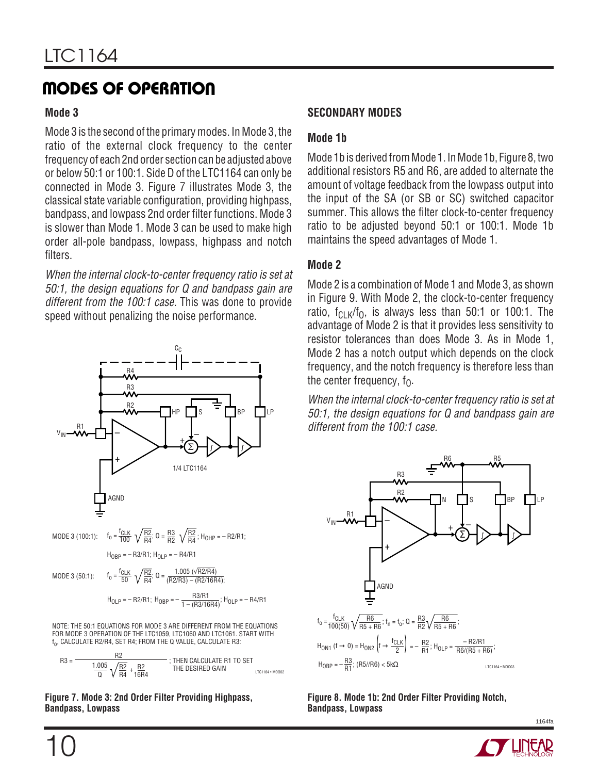### **MODES OF OPERATION**

#### **Mode 3**

Mode 3 is the second of the primary modes. In Mode 3, the ratio of the external clock frequency to the center frequency of each 2nd order section can be adjusted above or below 50:1 or 100:1. Side D of the LTC1164 can only be connected in Mode 3. Figure 7 illustrates Mode 3, the classical state variable configuration, providing highpass, bandpass, and lowpass 2nd order filter functions. Mode 3 is slower than Mode 1. Mode 3 can be used to make high order all-pole bandpass, lowpass, highpass and notch filters.

When the internal clock-to-center frequency ratio is set at 50:1, the design equations for Q and bandpass gain are different from the 100:1 case. This was done to provide speed without penalizing the noise performance.





#### **Figure 7. Mode 3: 2nd Order Filter Providing Highpass, Bandpass, Lowpass**

#### **SECONDARY MODES**

#### **Mode 1b**

Mode 1b is derived from Mode 1. In Mode 1b, Figure 8, two additional resistors R5 and R6, are added to alternate the amount of voltage feedback from the lowpass output into the input of the SA (or SB or SC) switched capacitor summer. This allows the filter clock-to-center frequency ratio to be adjusted beyond 50:1 or 100:1. Mode 1b maintains the speed advantages of Mode 1.

#### **Mode 2**

Mode 2 is a combination of Mode 1 and Mode 3, as shown in Figure 9. With Mode 2, the clock-to-center frequency ratio,  $f_{\text{CLK}}/f_0$ , is always less than 50:1 or 100:1. The advantage of Mode 2 is that it provides less sensitivity to resistor tolerances than does Mode 3. As in Mode 1, Mode 2 has a notch output which depends on the clock frequency, and the notch frequency is therefore less than the center frequency,  $f_0$ .

When the internal clock-to-center frequency ratio is set at 50:1, the design equations for Q and bandpass gain are different from the 100:1 case.



**Figure 8. Mode 1b: 2nd Order Filter Providing Notch, Bandpass, Lowpass**

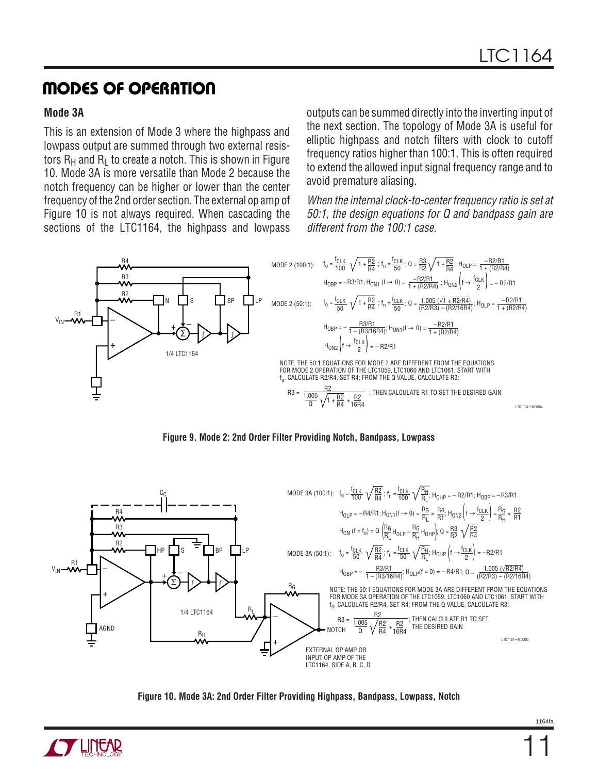### **MODES OF OPERATION**

#### **Mode 3A**

This is an extension of Mode 3 where the highpass and lowpass output are summed through two external resistors  $R_H$  and  $R_I$  to create a notch. This is shown in Figure 10. Mode 3A is more versatile than Mode 2 because the notch frequency can be higher or lower than the center frequency of the 2nd order section. The external op amp of Figure 10 is not always required. When cascading the sections of the LTC1164, the highpass and lowpass outputs can be summed directly into the inverting input of the next section. The topology of Mode 3A is useful for elliptic highpass and notch filters with clock to cutoff frequency ratios higher than 100:1. This is often required to extend the allowed input signal frequency range and to avoid premature aliasing.

When the internal clock-to-center frequency ratio is set at 50:1, the design equations for Q and bandpass gain are different from the 100:1 case.









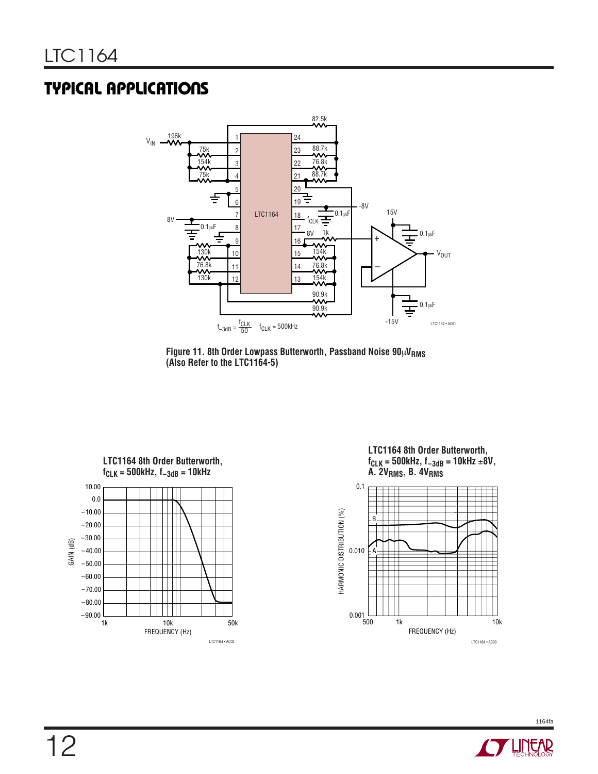### **TYPICAL APPLICATIONS**



Figure 11. 8th Order Lowpass Butterworth, Passband Noise  $90\mu V_{RMS}$ **(Also Refer to the LTC1164-5)**



**LTC1164 8th Order Butterworth, fCLK = 500kHz, f–3dB = 10kHz** ±**8V, A. 2VRMS, B. 4VRMS**



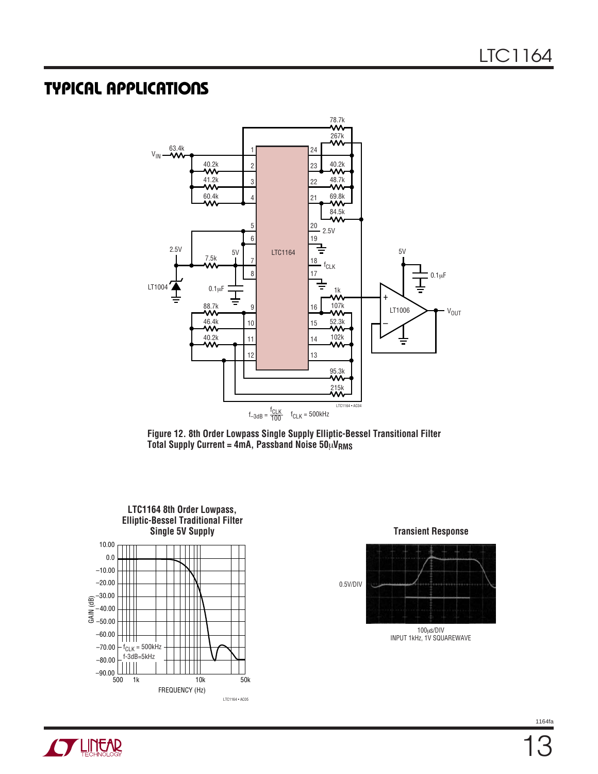### **TYPICAL APPLICATIONS**



**Figure 12. 8th Order Lowpass Single Supply Elliptic-Bessel Transitional Filter Total Supply Current = 4mA, Passband Noise 50**µ**VRMS**





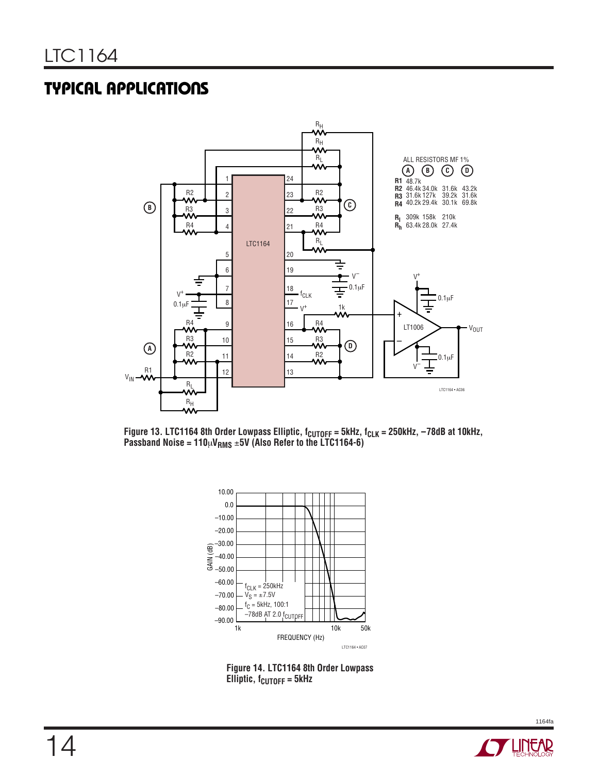### **TYPICAL APPLICATIONS**



Figure 13. LTC1164 8th Order Lowpass Elliptic, f<sub>CUTOFF</sub> = 5kHz, f<sub>CLK</sub> = 250kHz, –78dB at 10kHz, **Passband Noise = 110**µ**VRMS** ±**5V (Also Refer to the LTC1164-6)**



**Figure 14. LTC1164 8th Order Lowpass Elliptic, f<sub>CUTOFF</sub> = 5kHz** 

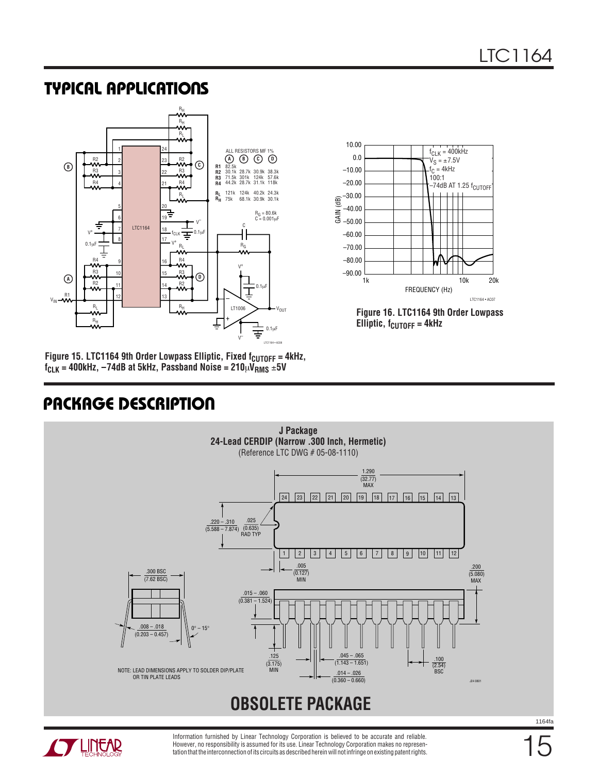**Figure 16. LTC1164 9th Order Lowpass**

FREQUENCY (Hz)

f<sub>CLK</sub> = 400kHz  $V_S = \pm 7.5V$ f<sub>C</sub> = 4kHz 100:1

.co.:<br>-74dB AT 1.25 f<sub>CUTOFF</sub>

LTC1164 • AC07

10k 20k

**Elliptic, f<sub>CUTOFF</sub> = 4kHz** 

1k –90.00

–70.00

–60.00 –50.00

–80.00

–40.00

–30.00

10.00

0.0

–10.00

–20.00

GAIN (dB)

### **TYPICAL APPLICATIONS**



Figure 15. LTC1164 9th Order Lowpass Elliptic, Fixed f<sub>CUTOFF</sub> = 4kHz,  $f_{CLK} = 400$ kHz,  $-74$ dB at 5kHz, Passband Noise =  $210 \mu \text{V}_{RMS} \pm 5 \text{V}$ 

### **U PACKAGE DESCRIPTIO**





Information furnished by Linear Technology Corporation is believed to be accurate and reliable. However, no responsibility is assumed for its use. Linear Technology Corporation makes no representation that the interconnection of its circuits as described herein will not infringe on existing patent rights.

15